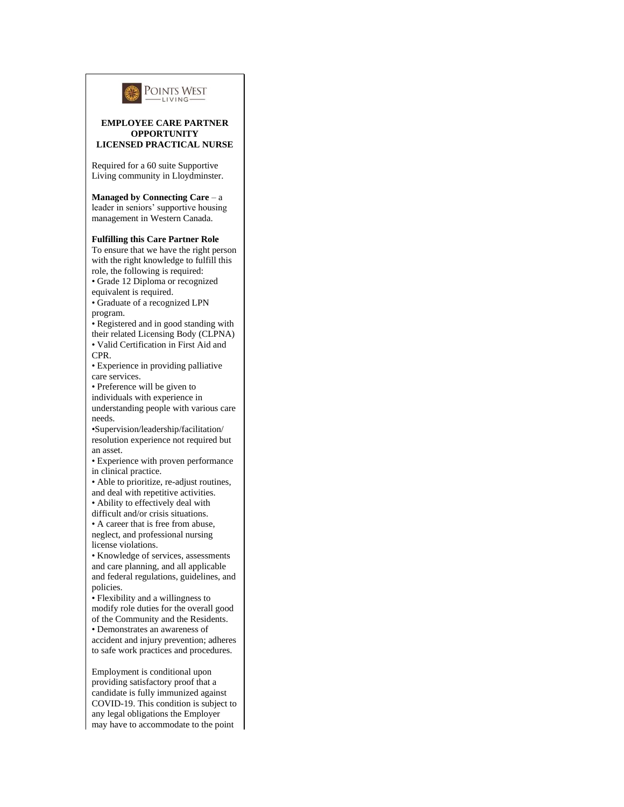

## **EMPLOYEE CARE PARTNER OPPORTUNITY LICENSED PRACTICAL NURSE**

Required for a 60 suite Supportive Living community in Lloydminster.

## **Managed by Connecting Care** – a

leader in seniors' supportive housing management in Western Canada.

## **Fulfilling this Care Partner Role**

To ensure that we have the right person with the right knowledge to fulfill this role, the following is required: • Grade 12 Diploma or recognized

equivalent is required.

• Graduate of a recognized LPN program.

• Registered and in good standing with their related Licensing Body (CLPNA) • Valid Certification in First Aid and

CPR. • Experience in providing palliative

care services. • Preference will be given to

individuals with experience in

understanding people with various care needs.

•Supervision/leadership/facilitation/ resolution experience not required but an asset.

• Experience with proven performance in clinical practice.

• Able to prioritize, re-adjust routines, and deal with repetitive activities.

• Ability to effectively deal with

difficult and/or crisis situations.

• A career that is free from abuse, neglect, and professional nursing license violations.

• Knowledge of services, assessments and care planning, and all applicable and federal regulations, guidelines, and policies.

• Flexibility and a willingness to modify role duties for the overall good of the Community and the Residents.

• Demonstrates an awareness of

accident and injury prevention; adheres to safe work practices and procedures.

Employment is conditional upon providing satisfactory proof that a candidate is fully immunized against COVID-19. This condition is subject to any legal obligations the Employer may have to accommodate to the point